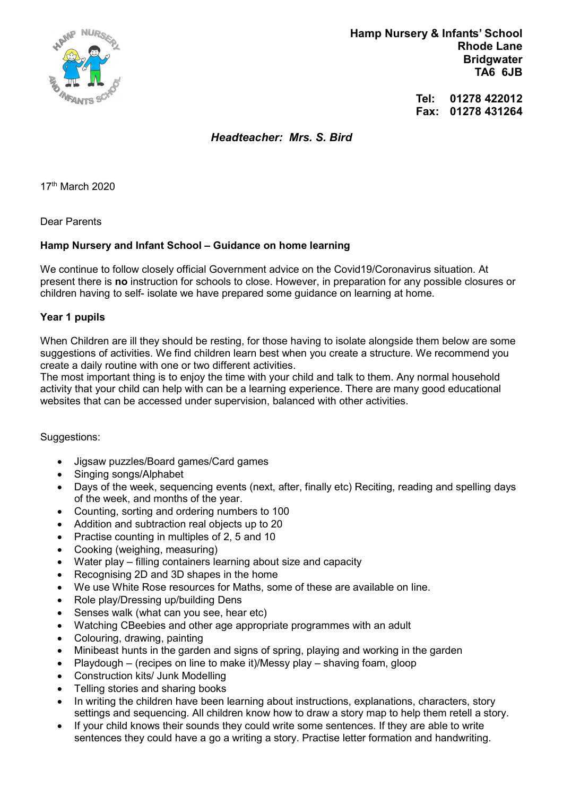

 Hamp Nursery & Infants' School Rhode Lane **Bridgwater** TA6 6JB

> Tel: 01278 422012 Fax: 01278 431264

Headteacher: Mrs. S. Bird

17th March 2020

Dear Parents

## Hamp Nursery and Infant School – Guidance on home learning

We continue to follow closely official Government advice on the Covid19/Coronavirus situation. At present there is no instruction for schools to close. However, in preparation for any possible closures or children having to self- isolate we have prepared some guidance on learning at home.

## Year 1 pupils

When Children are ill they should be resting, for those having to isolate alongside them below are some suggestions of activities. We find children learn best when you create a structure. We recommend you create a daily routine with one or two different activities.

The most important thing is to enjoy the time with your child and talk to them. Any normal household activity that your child can help with can be a learning experience. There are many good educational websites that can be accessed under supervision, balanced with other activities.

Suggestions:

- Jigsaw puzzles/Board games/Card games
- Singing songs/Alphabet
- Days of the week, sequencing events (next, after, finally etc) Reciting, reading and spelling days of the week, and months of the year.
- Counting, sorting and ordering numbers to 100
- Addition and subtraction real objects up to 20
- Practise counting in multiples of 2, 5 and 10
- Cooking (weighing, measuring)
- Water play filling containers learning about size and capacity
- Recognising 2D and 3D shapes in the home
- We use White Rose resources for Maths, some of these are available on line.
- Role play/Dressing up/building Dens
- Senses walk (what can you see, hear etc)
- Watching CBeebies and other age appropriate programmes with an adult
- Colouring, drawing, painting
- Minibeast hunts in the garden and signs of spring, playing and working in the garden
- Playdough (recipes on line to make it)/Messy play shaving foam, gloop
- Construction kits/ Junk Modelling
- Telling stories and sharing books
- In writing the children have been learning about instructions, explanations, characters, story settings and sequencing. All children know how to draw a story map to help them retell a story.
- If your child knows their sounds they could write some sentences. If they are able to write sentences they could have a go a writing a story. Practise letter formation and handwriting.